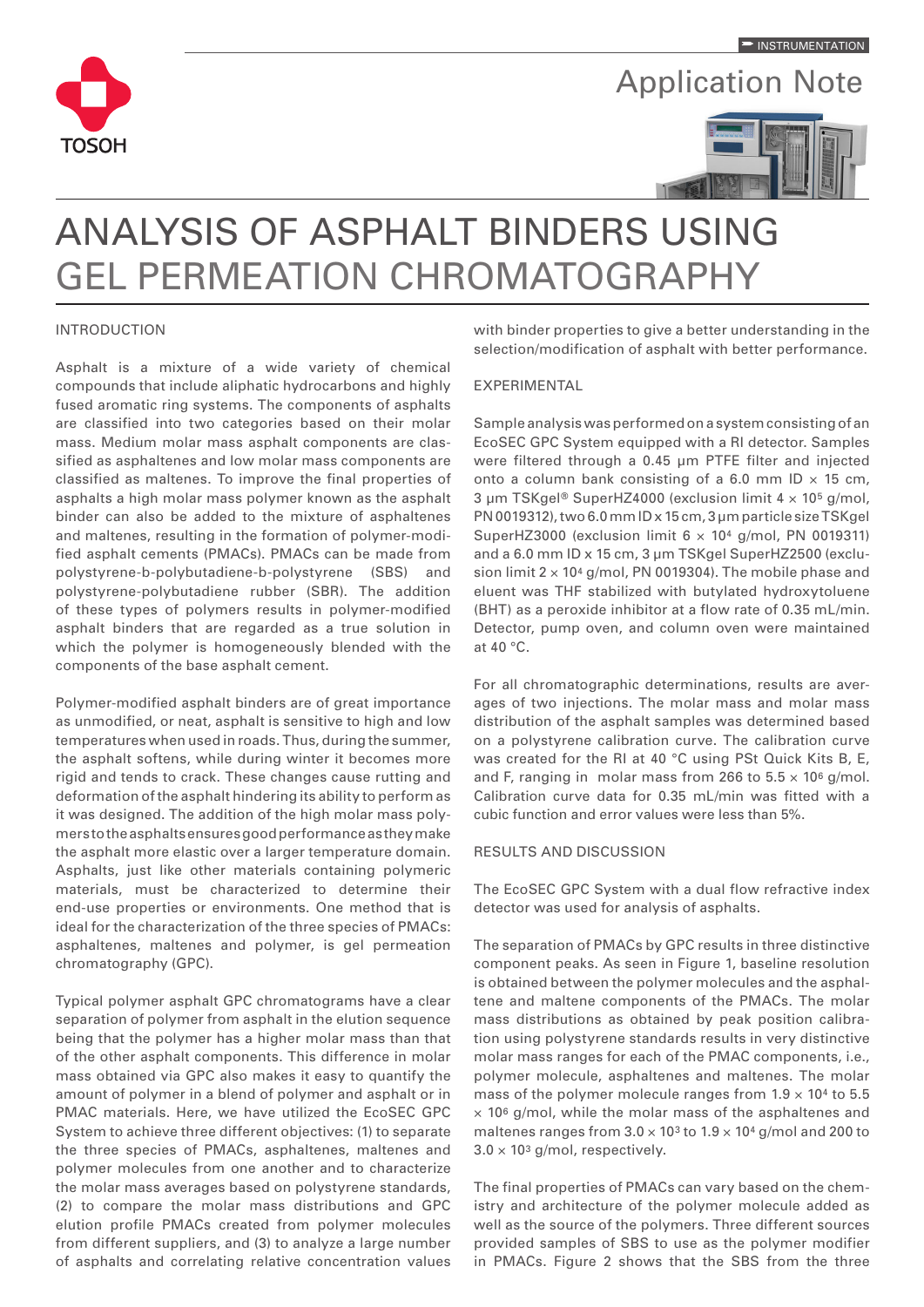

## Application Note



# ANALYSIS OF ASPHALT BINDERS USING GEL PERMEATION CHROMATOGRAPHY

#### INTRODUCTION

Asphalt is a mixture of a wide variety of chemical compounds that include aliphatic hydrocarbons and highly fused aromatic ring systems. The components of asphalts are classified into two categories based on their molar mass. Medium molar mass asphalt components are classified as asphaltenes and low molar mass components are classified as maltenes. To improve the final properties of asphalts a high molar mass polymer known as the asphalt binder can also be added to the mixture of asphaltenes and maltenes, resulting in the formation of polymer-modified asphalt cements (PMACs). PMACs can be made from polystyrene-b-polybutadiene-b-polystyrene (SBS) and polystyrene-polybutadiene rubber (SBR). The addition of these types of polymers results in polymer-modified asphalt binders that are regarded as a true solution in which the polymer is homogeneously blended with the components of the base asphalt cement.

Polymer-modified asphalt binders are of great importance as unmodified, or neat, asphalt is sensitive to high and low temperatures when used in roads. Thus, during the summer, the asphalt softens, while during winter it becomes more rigid and tends to crack. These changes cause rutting and deformation of the asphalt hindering its ability to perform as it was designed. The addition of the high molar mass polymers to the asphalts ensures good performance as they make the asphalt more elastic over a larger temperature domain. Asphalts, just like other materials containing polymeric materials, must be characterized to determine their end-use properties or environments. One method that is ideal for the characterization of the three species of PMACs: asphaltenes, maltenes and polymer, is gel permeation chromatography (GPC).

Typical polymer asphalt GPC chromatograms have a clear separation of polymer from asphalt in the elution sequence being that the polymer has a higher molar mass than that of the other asphalt components. This difference in molar mass obtained via GPC also makes it easy to quantify the amount of polymer in a blend of polymer and asphalt or in PMAC materials. Here, we have utilized the EcoSEC GPC System to achieve three different objectives: (1) to separate the three species of PMACs, asphaltenes, maltenes and polymer molecules from one another and to characterize the molar mass averages based on polystyrene standards, (2) to compare the molar mass distributions and GPC elution profile PMACs created from polymer molecules from different suppliers, and (3) to analyze a large number of asphalts and correlating relative concentration values

with binder properties to give a better understanding in the selection/modification of asphalt with better performance.

### EXPERIMENTAL

Sample analysis was performed on a system consisting of an EcoSEC GPC System equipped with a RI detector. Samples were filtered through a 0.45 µm PTFE filter and injected onto a column bank consisting of a 6.0 mm ID  $\times$  15 cm, 3 µm TSKgel® SuperHZ4000 (exclusion limit 4 × 105 g/mol, PN 0019312), two 6.0 mm ID x 15 cm, 3 µm particle size TSKgel SuperHZ3000 (exclusion limit  $6 \times 10^4$  g/mol, PN 0019311) and a 6.0 mm ID x 15 cm, 3 µm TSKgel SuperHZ2500 (exclusion limit  $2 \times 10^4$  g/mol, PN 0019304). The mobile phase and eluent was THF stabilized with butylated hydroxytoluene (BHT) as a peroxide inhibitor at a flow rate of 0.35 mL/min. Detector, pump oven, and column oven were maintained at 40 °C.

For all chromatographic determinations, results are averages of two injections. The molar mass and molar mass distribution of the asphalt samples was determined based on a polystyrene calibration curve. The calibration curve was created for the RI at 40 °C using PSt Quick Kits B, E, and F, ranging in molar mass from 266 to  $5.5 \times 10^6$  g/mol. Calibration curve data for 0.35 mL/min was fitted with a cubic function and error values were less than 5%.

#### RESULTS AND DISCUSSION

The EcoSEC GPC System with a dual flow refractive index detector was used for analysis of asphalts.

The separation of PMACs by GPC results in three distinctive component peaks. As seen in Figure 1, baseline resolution is obtained between the polymer molecules and the asphaltene and maltene components of the PMACs. The molar mass distributions as obtained by peak position calibration using polystyrene standards results in very distinctive molar mass ranges for each of the PMAC components, i.e., polymer molecule, asphaltenes and maltenes. The molar mass of the polymer molecule ranges from  $1.9 \times 10^4$  to 5.5  $\times$  10<sup>6</sup> g/mol, while the molar mass of the asphaltenes and maltenes ranges from  $3.0 \times 10^{3}$  to  $1.9 \times 10^{4}$  g/mol and 200 to  $3.0 \times 10^3$  g/mol, respectively.

The final properties of PMACs can vary based on the chemistry and architecture of the polymer molecule added as well as the source of the polymers. Three different sources provided samples of SBS to use as the polymer modifier in PMACs. Figure 2 shows that the SBS from the three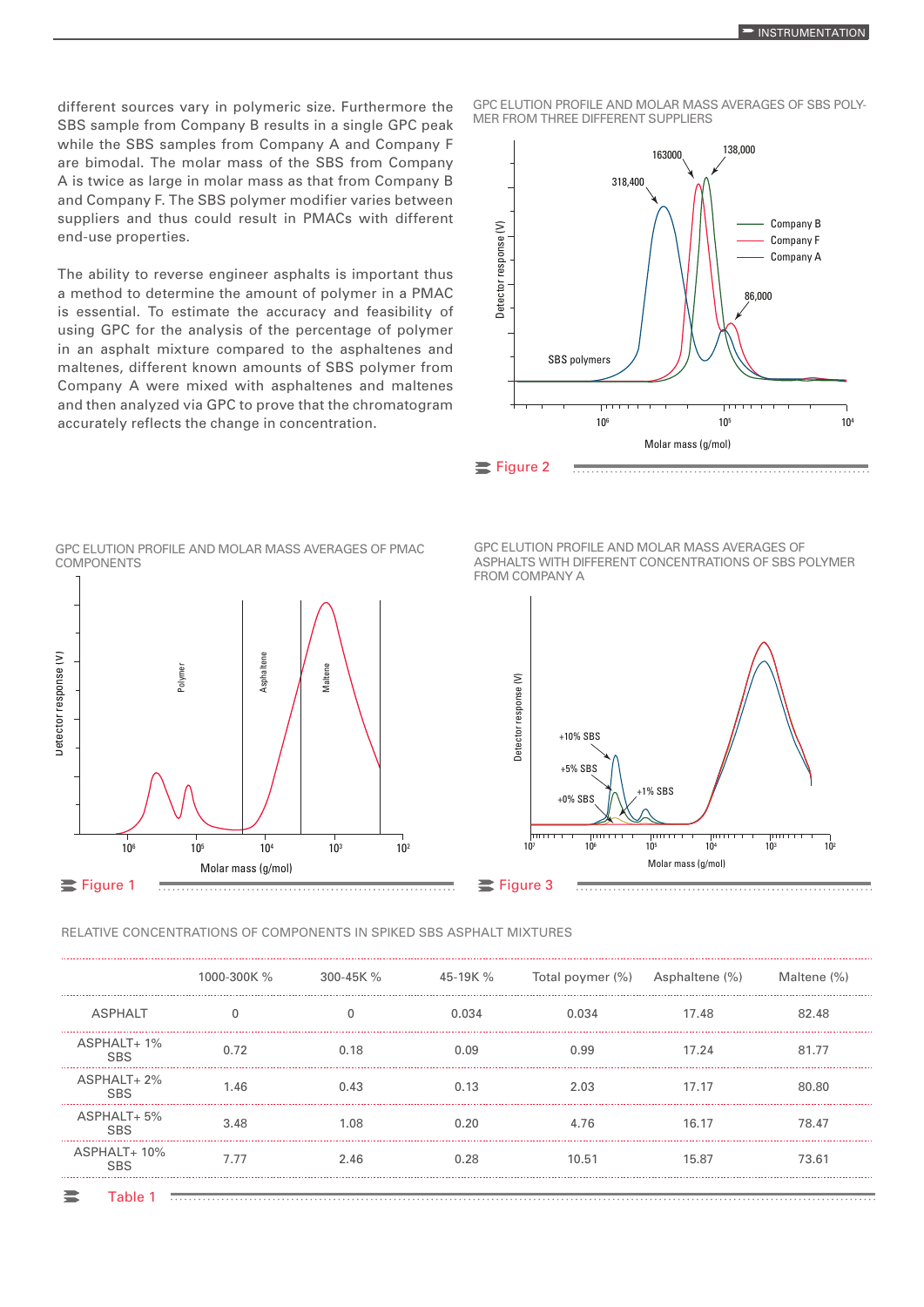different sources vary in polymeric size. Furthermore the SBS sample from Company B results in a single GPC peak while the SBS samples from Company A and Company F are bimodal. The molar mass of the SBS from Company A is twice as large in molar mass as that from Company B and Company F. The SBS polymer modifier varies between suppliers and thus could result in PMACs with different end-use properties.

The ability to reverse engineer asphalts is important thus a method to determine the amount of polymer in a PMAC is essential. To estimate the accuracy and feasibility of using GPC for the analysis of the percentage of polymer in an asphalt mixture compared to the asphaltenes and maltenes, different known amounts of SBS polymer from Company A were mixed with asphaltenes and maltenes and then analyzed via GPC to prove that the chromatogram accurately reflects the change in concentration.

GPC ELUTION PROFILE AND MOLAR MASS AVERAGES OF SBS POLY-MER FROM THREE DIFFERENT SUPPLIERS





GPC ELUTION PROFILE AND MOLAR MASS AVERAGES OF PMAC

GPC ELUTION PROFILE AND MOLAR MASS AVERAGES OF ASPHALTS WITH DIFFERENT CONCENTRATIONS OF SBS POLYMER FROM COMPANY A



#### RELATIVE CONCENTRATIONS OF COMPONENTS IN SPIKED SBS ASPHALT MIXTURES

|                            | 1000-300K % | 300-45K % | 45-19K % | Total poymer (%) Asphaltene (%) |       | Maltene (%) |
|----------------------------|-------------|-----------|----------|---------------------------------|-------|-------------|
| <b>ASPHALT</b>             |             |           | 0.034    | በ በ34                           | 17.48 | 82.48       |
| $ASPHALT+1\%$              |             | 0.18      | N N9     | 0.99                            | 17.24 | 81.77       |
| $ASPHALT+2%$<br><b>SBS</b> | 1.46        | 0.43      | 0.13     | 2.03                            | 17.17 | 80.80       |
| $ASPHALT + 5%$<br>SBS      | 3.48        | 1.08      |          | 476                             | 16.17 | 78.47       |
| $ASPHALT+10\%$             | 7.77        | 2.46      | 0.28     | 10.51                           | 15.87 | 73.61       |
|                            |             |           |          |                                 |       |             |